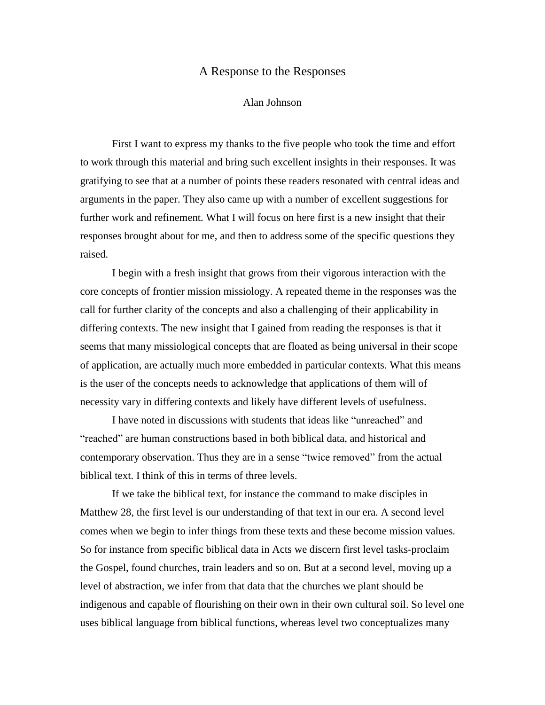## A Response to the Responses

## Alan Johnson

First I want to express my thanks to the five people who took the time and effort to work through this material and bring such excellent insights in their responses. It was gratifying to see that at a number of points these readers resonated with central ideas and arguments in the paper. They also came up with a number of excellent suggestions for further work and refinement. What I will focus on here first is a new insight that their responses brought about for me, and then to address some of the specific questions they raised.

I begin with a fresh insight that grows from their vigorous interaction with the core concepts of frontier mission missiology. A repeated theme in the responses was the call for further clarity of the concepts and also a challenging of their applicability in differing contexts. The new insight that I gained from reading the responses is that it seems that many missiological concepts that are floated as being universal in their scope of application, are actually much more embedded in particular contexts. What this means is the user of the concepts needs to acknowledge that applications of them will of necessity vary in differing contexts and likely have different levels of usefulness.

I have noted in discussions with students that ideas like "unreached" and "reached" are human constructions based in both biblical data, and historical and contemporary observation. Thus they are in a sense "twice removed" from the actual biblical text. I think of this in terms of three levels.

If we take the biblical text, for instance the command to make disciples in Matthew 28, the first level is our understanding of that text in our era. A second level comes when we begin to infer things from these texts and these become mission values. So for instance from specific biblical data in Acts we discern first level tasks-proclaim the Gospel, found churches, train leaders and so on. But at a second level, moving up a level of abstraction, we infer from that data that the churches we plant should be indigenous and capable of flourishing on their own in their own cultural soil. So level one uses biblical language from biblical functions, whereas level two conceptualizes many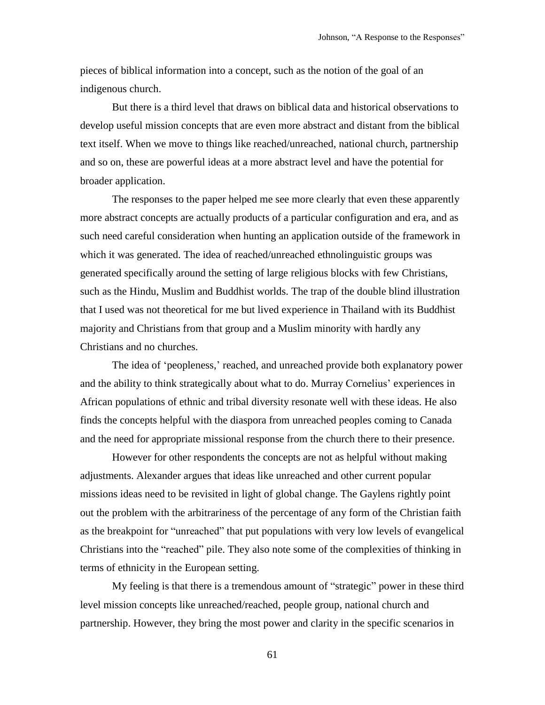pieces of biblical information into a concept, such as the notion of the goal of an indigenous church.

But there is a third level that draws on biblical data and historical observations to develop useful mission concepts that are even more abstract and distant from the biblical text itself. When we move to things like reached/unreached, national church, partnership and so on, these are powerful ideas at a more abstract level and have the potential for broader application.

The responses to the paper helped me see more clearly that even these apparently more abstract concepts are actually products of a particular configuration and era, and as such need careful consideration when hunting an application outside of the framework in which it was generated. The idea of reached/unreached ethnolinguistic groups was generated specifically around the setting of large religious blocks with few Christians, such as the Hindu, Muslim and Buddhist worlds. The trap of the double blind illustration that I used was not theoretical for me but lived experience in Thailand with its Buddhist majority and Christians from that group and a Muslim minority with hardly any Christians and no churches.

The idea of 'peopleness,' reached, and unreached provide both explanatory power and the ability to think strategically about what to do. Murray Cornelius' experiences in African populations of ethnic and tribal diversity resonate well with these ideas. He also finds the concepts helpful with the diaspora from unreached peoples coming to Canada and the need for appropriate missional response from the church there to their presence.

However for other respondents the concepts are not as helpful without making adjustments. Alexander argues that ideas like unreached and other current popular missions ideas need to be revisited in light of global change. The Gaylens rightly point out the problem with the arbitrariness of the percentage of any form of the Christian faith as the breakpoint for "unreached" that put populations with very low levels of evangelical Christians into the "reached" pile. They also note some of the complexities of thinking in terms of ethnicity in the European setting.

My feeling is that there is a tremendous amount of "strategic" power in these third level mission concepts like unreached/reached, people group, national church and partnership. However, they bring the most power and clarity in the specific scenarios in

61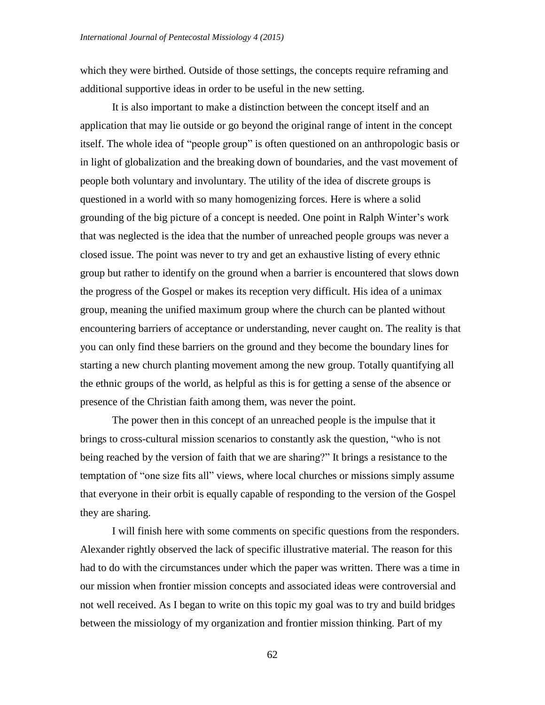which they were birthed. Outside of those settings, the concepts require reframing and additional supportive ideas in order to be useful in the new setting.

It is also important to make a distinction between the concept itself and an application that may lie outside or go beyond the original range of intent in the concept itself. The whole idea of "people group" is often questioned on an anthropologic basis or in light of globalization and the breaking down of boundaries, and the vast movement of people both voluntary and involuntary. The utility of the idea of discrete groups is questioned in a world with so many homogenizing forces. Here is where a solid grounding of the big picture of a concept is needed. One point in Ralph Winter's work that was neglected is the idea that the number of unreached people groups was never a closed issue. The point was never to try and get an exhaustive listing of every ethnic group but rather to identify on the ground when a barrier is encountered that slows down the progress of the Gospel or makes its reception very difficult. His idea of a unimax group, meaning the unified maximum group where the church can be planted without encountering barriers of acceptance or understanding, never caught on. The reality is that you can only find these barriers on the ground and they become the boundary lines for starting a new church planting movement among the new group. Totally quantifying all the ethnic groups of the world, as helpful as this is for getting a sense of the absence or presence of the Christian faith among them, was never the point.

The power then in this concept of an unreached people is the impulse that it brings to cross-cultural mission scenarios to constantly ask the question, "who is not being reached by the version of faith that we are sharing?" It brings a resistance to the temptation of "one size fits all" views, where local churches or missions simply assume that everyone in their orbit is equally capable of responding to the version of the Gospel they are sharing.

I will finish here with some comments on specific questions from the responders. Alexander rightly observed the lack of specific illustrative material. The reason for this had to do with the circumstances under which the paper was written. There was a time in our mission when frontier mission concepts and associated ideas were controversial and not well received. As I began to write on this topic my goal was to try and build bridges between the missiology of my organization and frontier mission thinking. Part of my

62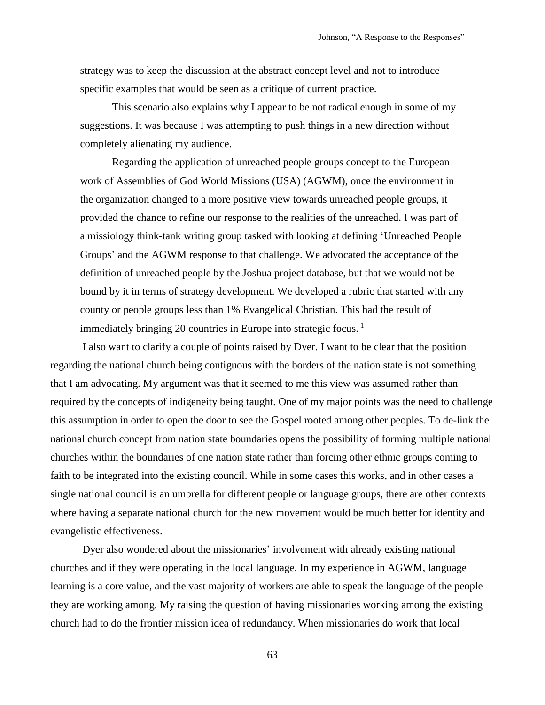strategy was to keep the discussion at the abstract concept level and not to introduce specific examples that would be seen as a critique of current practice.

This scenario also explains why I appear to be not radical enough in some of my suggestions. It was because I was attempting to push things in a new direction without completely alienating my audience.

Regarding the application of unreached people groups concept to the European work of Assemblies of God World Missions (USA) (AGWM), once the environment in the organization changed to a more positive view towards unreached people groups, it provided the chance to refine our response to the realities of the unreached. I was part of a missiology think-tank writing group tasked with looking at defining 'Unreached People Groups' and the AGWM response to that challenge. We advocated the acceptance of the definition of unreached people by the Joshua project database, but that we would not be bound by it in terms of strategy development. We developed a rubric that started with any county or people groups less than 1% Evangelical Christian. This had the result of immediately bringing 20 countries in Europe into strategic focus.<sup>1</sup>

I also want to clarify a couple of points raised by Dyer. I want to be clear that the position regarding the national church being contiguous with the borders of the nation state is not something that I am advocating. My argument was that it seemed to me this view was assumed rather than required by the concepts of indigeneity being taught. One of my major points was the need to challenge this assumption in order to open the door to see the Gospel rooted among other peoples. To de-link the national church concept from nation state boundaries opens the possibility of forming multiple national churches within the boundaries of one nation state rather than forcing other ethnic groups coming to faith to be integrated into the existing council. While in some cases this works, and in other cases a single national council is an umbrella for different people or language groups, there are other contexts where having a separate national church for the new movement would be much better for identity and evangelistic effectiveness.

Dyer also wondered about the missionaries' involvement with already existing national churches and if they were operating in the local language. In my experience in AGWM, language learning is a core value, and the vast majority of workers are able to speak the language of the people they are working among. My raising the question of having missionaries working among the existing church had to do the frontier mission idea of redundancy. When missionaries do work that local

63